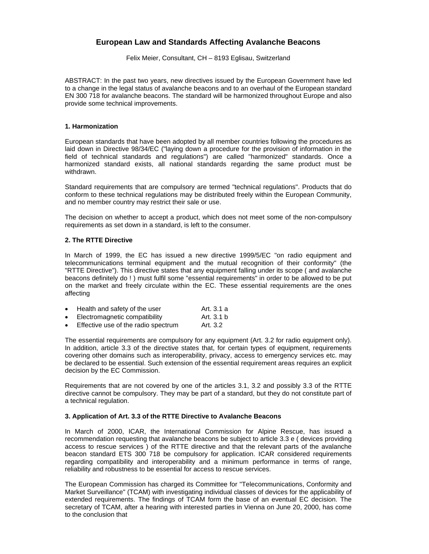# **European Law and Standards Affecting Avalanche Beacons**

Felix Meier, Consultant, CH – 8193 Eglisau, Switzerland

ABSTRACT: In the past two years, new directives issued by the European Government have led to a change in the legal status of avalanche beacons and to an overhaul of the European standard EN 300 718 for avalanche beacons. The standard will be harmonized throughout Europe and also provide some technical improvements.

### **1. Harmonization**

European standards that have been adopted by all member countries following the procedures as laid down in Directive 98/34/EC ("laying down a procedure for the provision of information in the field of technical standards and regulations") are called "harmonized" standards. Once a harmonized standard exists, all national standards regarding the same product must be withdrawn.

Standard requirements that are compulsory are termed "technical regulations". Products that do conform to these technical regulations may be distributed freely within the European Community, and no member country may restrict their sale or use.

The decision on whether to accept a product, which does not meet some of the non-compulsory requirements as set down in a standard, is left to the consumer.

#### **2. The RTTE Directive**

In March of 1999, the EC has issued a new directive 1999/5/EC "on radio equipment and telecommunications terminal equipment and the mutual recognition of their conformity" (the "RTTE Directive"). This directive states that any equipment falling under its scope ( and avalanche beacons definitely do ! ) must fulfil some "essential requirements" in order to be allowed to be put on the market and freely circulate within the EC. These essential requirements are the ones affecting

| $\bullet$ | Health and safety of the user       | Art. 3.1 a |
|-----------|-------------------------------------|------------|
| $\bullet$ | Electromagnetic compatibility       | Art. 3.1 b |
| $\bullet$ | Effective use of the radio spectrum | Art. 3.2   |

The essential requirements are compulsory for any equipment (Art. 3.2 for radio equipment only). In addition, article 3.3 of the directive states that, for certain types of equipment, requirements covering other domains such as interoperability, privacy, access to emergency services etc. may be declared to be essential. Such extension of the essential requirement areas requires an explicit decision by the EC Commission.

Requirements that are not covered by one of the articles 3.1, 3.2 and possibly 3.3 of the RTTE directive cannot be compulsory. They may be part of a standard, but they do not constitute part of a technical regulation.

### **3. Application of Art. 3.3 of the RTTE Directive to Avalanche Beacons**

In March of 2000, ICAR, the International Commission for Alpine Rescue, has issued a recommendation requesting that avalanche beacons be subject to article 3.3 e ( devices providing access to rescue services ) of the RTTE directive and that the relevant parts of the avalanche beacon standard ETS 300 718 be compulsory for application. ICAR considered requirements regarding compatibility and interoperability and a minimum performance in terms of range, reliability and robustness to be essential for access to rescue services.

The European Commission has charged its Committee for "Telecommunications, Conformity and Market Surveillance" (TCAM) with investigating individual classes of devices for the applicability of extended requirements. The findings of TCAM form the base of an eventual EC decision. The secretary of TCAM, after a hearing with interested parties in Vienna on June 20, 2000, has come to the conclusion that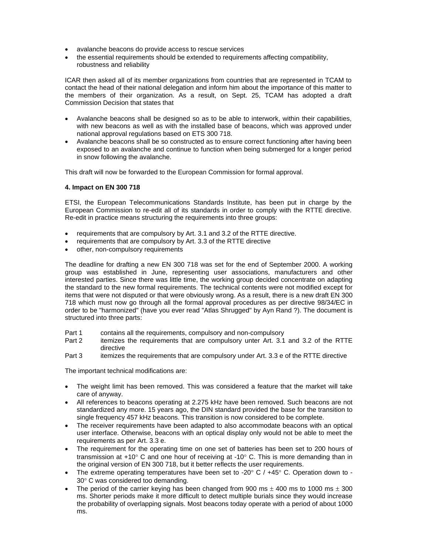- avalanche beacons do provide access to rescue services
- the essential requirements should be extended to requirements affecting compatibility, robustness and reliability

ICAR then asked all of its member organizations from countries that are represented in TCAM to contact the head of their national delegation and inform him about the importance of this matter to the members of their organization. As a result, on Sept. 25, TCAM has adopted a draft Commission Decision that states that

- Avalanche beacons shall be designed so as to be able to interwork, within their capabilities, with new beacons as well as with the installed base of beacons, which was approved under national approval regulations based on ETS 300 718.
- Avalanche beacons shall be so constructed as to ensure correct functioning after having been exposed to an avalanche and continue to function when being submerged for a longer period in snow following the avalanche.

This draft will now be forwarded to the European Commission for formal approval.

# **4. Impact on EN 300 718**

ETSI, the European Telecommunications Standards Institute, has been put in charge by the European Commission to re-edit all of its standards in order to comply with the RTTE directive. Re-edit in practice means structuring the requirements into three groups:

- requirements that are compulsory by Art. 3.1 and 3.2 of the RTTE directive.
- requirements that are compulsory by Art. 3.3 of the RTTE directive
- other, non-compulsory requirements

The deadline for drafting a new EN 300 718 was set for the end of September 2000. A working group was established in June, representing user associations, manufacturers and other interested parties. Since there was little time, the working group decided concentrate on adapting the standard to the new formal requirements. The technical contents were not modified except for items that were not disputed or that were obviously wrong. As a result, there is a new draft EN 300 718 which must now go through all the formal approval procedures as per directive 98/34/EC in order to be "harmonized" (have you ever read "Atlas Shrugged" by Ayn Rand ?). The document is structured into three parts:

- Part 1 contains all the requirements, compulsory and non-compulsory<br>Part 2 itemizes the requirements that are compulsory unter Art 3.1
- itemizes the requirements that are compulsory unter Art. 3.1 and 3.2 of the RTTE directive
- Part 3 itemizes the requirements that are compulsory under Art. 3.3 e of the RTTE directive

The important technical modifications are:

- The weight limit has been removed. This was considered a feature that the market will take care of anyway.
- All references to beacons operating at 2.275 kHz have been removed. Such beacons are not standardized any more. 15 years ago, the DIN standard provided the base for the transition to single frequency 457 kHz beacons. This transition is now considered to be complete.
- The receiver requirements have been adapted to also accommodate beacons with an optical user interface. Otherwise, beacons with an optical display only would not be able to meet the requirements as per Art. 3.3 e.
- The requirement for the operating time on one set of batteries has been set to 200 hours of transmission at +10 $^{\circ}$  C and one hour of receiving at -10 $^{\circ}$  C. This is more demanding than in the original version of EN 300 718, but it better reflects the user requirements.
- The extreme operating temperatures have been set to -20 $\degree$  C / +45 $\degree$  C. Operation down to -30° C was considered too demanding.
- The period of the carrier keying has been changed from 900 ms  $\pm$  400 ms to 1000 ms  $\pm$  300 ms. Shorter periods make it more difficult to detect multiple burials since they would increase the probability of overlapping signals. Most beacons today operate with a period of about 1000 ms.